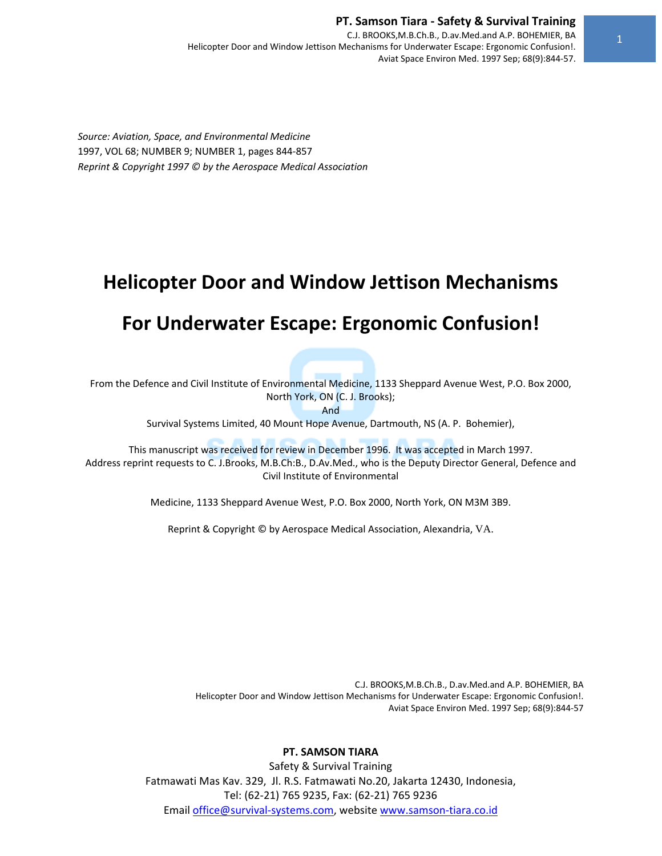C.J. BROOKS,M.B.Ch.B., D.av.Med.and A.P. BOHEMIER, BA Helicopter Door and Window Jettison Mechanisms for Underwater Escape: Ergonomic Confusion!. Aviat Space Environ Med. 1997 Sep; 68(9):844‐57.

*Source: Aviation, Space, and Environmental Medicine* 1997, VOL 68; NUMBER 9; NUMBER 1, pages 844‐857 *Reprint & Copyright 1997 © by the Aerospace Medical Association* 

# **Helicopter Door and Window Jettison Mechanisms**

# **For Underwater Escape: Ergonomic Confusion!**

From the Defence and Civil Institute of Environmental Medicine, 1133 Sheppard Avenue West, P.O. Box 2000, North York, ON (C. J. Brooks);

And

Survival Systems Limited, 40 Mount Hope Avenue, Dartmouth, NS (A. P. Bohemier),

This manuscript was received for review in December 1996. It was accepted in March 1997. Address reprint requests to C. J.Brooks, M.B.Ch:B., D.Av.Med., who is the Deputy Director General, Defence and Civil Institute of Environmental

Medicine, 1133 Sheppard Avenue West, P.O. Box 2000, North York, ON M3M 3B9.

Reprint & Copyright © by Aerospace Medical Association, Alexandria, VA.

C.J. BROOKS,M.B.Ch.B., D.av.Med.and A.P. BOHEMIER, BA Helicopter Door and Window Jettison Mechanisms for Underwater Escape: Ergonomic Confusion!. Aviat Space Environ Med. 1997 Sep; 68(9):844‐57

## **PT. SAMSON TIARA**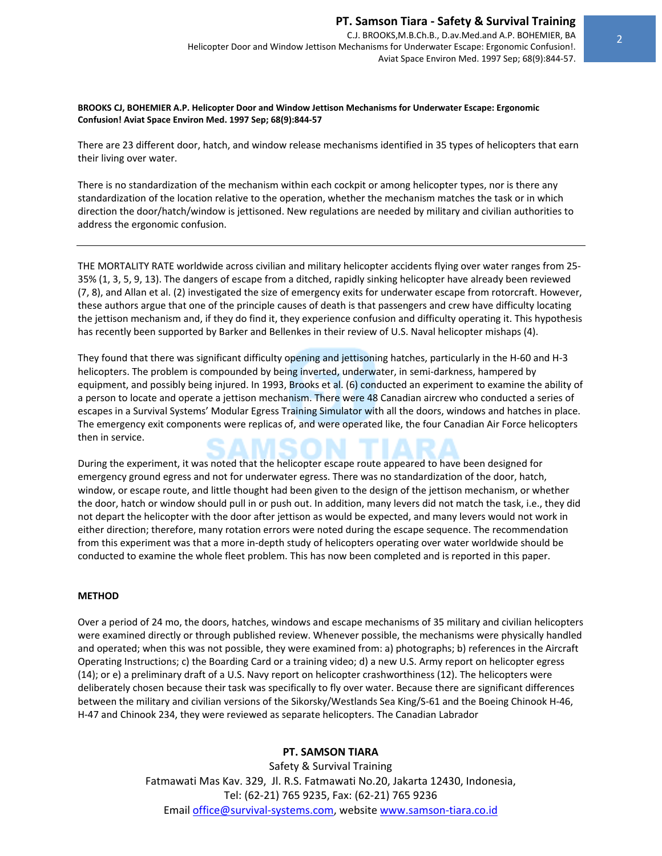#### **BROOKS CJ, BOHEMIER A.P. Helicopter Door and Window Jettison Mechanisms for Underwater Escape: Ergonomic Confusion! Aviat Space Environ Med. 1997 Sep; 68(9):844‐57**

There are 23 different door, hatch, and window release mechanisms identified in 35 types of helicopters that earn their living over water.

There is no standardization of the mechanism within each cockpit or among helicopter types, nor is there any standardization of the location relative to the operation, whether the mechanism matches the task or in which direction the door/hatch/window is jettisoned. New regulations are needed by military and civilian authorities to address the ergonomic confusion.

THE MORTALITY RATE worldwide across civilian and military helicopter accidents flying over water ranges from 25‐ 35% (1, 3, 5, 9, 13). The dangers of escape from a ditched, rapidly sinking helicopter have already been reviewed (7, 8), and Allan et al. (2) investigated the size of emergency exits for underwater escape from rotorcraft. However, these authors argue that one of the principle causes of death is that passengers and crew have difficulty locating the jettison mechanism and, if they do find it, they experience confusion and difficulty operating it. This hypothesis has recently been supported by Barker and Bellenkes in their review of U.S. Naval helicopter mishaps (4).

They found that there was significant difficulty opening and jettisoning hatches, particularly in the H‐60 and H‐3 helicopters. The problem is compounded by being inverted, underwater, in semi-darkness, hampered by equipment, and possibly being injured. In 1993, Brooks et al. (6) conducted an experiment to examine the ability of a person to locate and operate a jettison mechanism. There were 48 Canadian aircrew who conducted a series of escapes in a Survival Systems' Modular Egress Training Simulator with all the doors, windows and hatches in place. The emergency exit components were replicas of, and were operated like, the four Canadian Air Force helicopters then in service.

During the experiment, it was noted that the helicopter escape route appeared to have been designed for emergency ground egress and not for underwater egress. There was no standardization of the door, hatch, window, or escape route, and little thought had been given to the design of the jettison mechanism, or whether the door, hatch or window should pull in or push out. In addition, many levers did not match the task, i.e., they did not depart the helicopter with the door after jettison as would be expected, and many levers would not work in either direction; therefore, many rotation errors were noted during the escape sequence. The recommendation from this experiment was that a more in-depth study of helicopters operating over water worldwide should be conducted to examine the whole fleet problem. This has now been completed and is reported in this paper.

## **METHOD**

Over a period of 24 mo, the doors, hatches, windows and escape mechanisms of 35 military and civilian helicopters were examined directly or through published review. Whenever possible, the mechanisms were physically handled and operated; when this was not possible, they were examined from: a) photographs; b) references in the Aircraft Operating Instructions; c) the Boarding Card or a training video; d) a new U.S. Army report on helicopter egress (14); or e) a preliminary draft of a U.S. Navy report on helicopter crashworthiness (12). The helicopters were deliberately chosen because their task was specifically to fly over water. Because there are significant differences between the military and civilian versions of the Sikorsky/Westlands Sea King/S‐61 and the Boeing Chinook H‐46, H‐47 and Chinook 234, they were reviewed as separate helicopters. The Canadian Labrador

# **PT. SAMSON TIARA**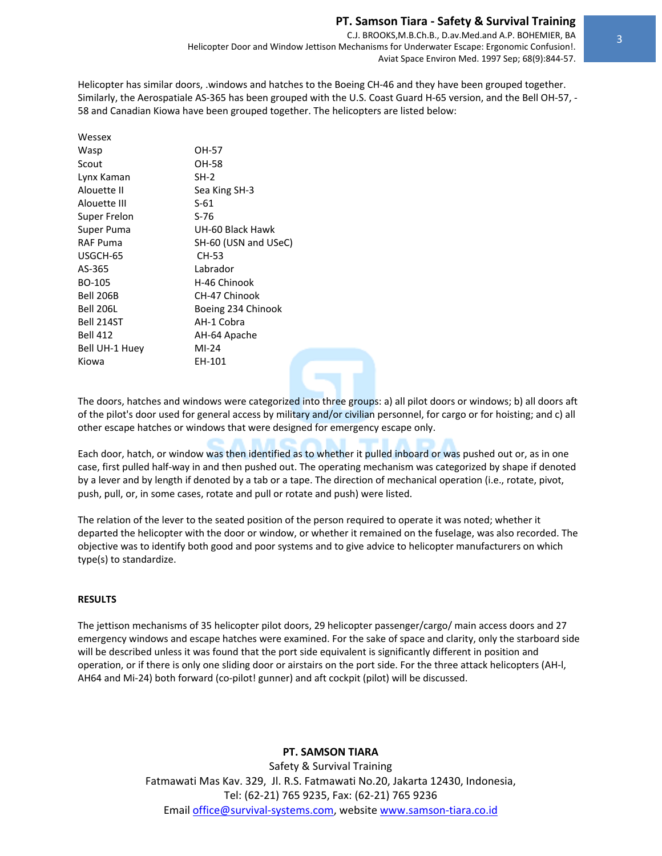C.J. BROOKS,M.B.Ch.B., D.av.Med.and A.P. BOHEMIER, BA Helicopter Door and Window Jettison Mechanisms for Underwater Escape: Ergonomic Confusion!. Aviat Space Environ Med. 1997 Sep; 68(9):844‐57.

Helicopter has similar doors, .windows and hatches to the Boeing CH‐46 and they have been grouped together. Similarly, the Aerospatiale AS‐365 has been grouped with the U.S. Coast Guard H‐65 version, and the Bell OH‐57, ‐ 58 and Canadian Kiowa have been grouped together. The helicopters are listed below:

| Wessex           |                      |
|------------------|----------------------|
| Wasp             | OH-57                |
| Scout            | OH-58                |
| Lynx Kaman       | $SH-2$               |
| Alouette II      | Sea King SH-3        |
| Alouette III     | $S-61$               |
| Super Frelon     | S-76                 |
| Super Puma       | UH-60 Black Hawk     |
| <b>RAF Puma</b>  | SH-60 (USN and USeC) |
| USGCH-65         | CH-53                |
| AS-365           | Labrador             |
| BO-105           | H-46 Chinook         |
| Bell 206B        | CH-47 Chinook        |
| <b>Bell 206L</b> | Boeing 234 Chinook   |
| Bell 214ST       | AH-1 Cobra           |
| <b>Bell 412</b>  | AH-64 Apache         |
| Bell UH-1 Huey   | $MI-24$              |
| Kiowa            | EH-101               |
|                  |                      |

The doors, hatches and windows were categorized into three groups: a) all pilot doors or windows; b) all doors aft of the pilot's door used for general access by military and/or civilian personnel, for cargo or for hoisting; and c) all other escape hatches or windows that were designed for emergency escape only.

Each door, hatch, or window was then identified as to whether it pulled inboard or was pushed out or, as in one case, first pulled half‐way in and then pushed out. The operating mechanism was categorized by shape if denoted by a lever and by length if denoted by a tab or a tape. The direction of mechanical operation (i.e., rotate, pivot, push, pull, or, in some cases, rotate and pull or rotate and push) were listed.

The relation of the lever to the seated position of the person required to operate it was noted; whether it departed the helicopter with the door or window, or whether it remained on the fuselage, was also recorded. The objective was to identify both good and poor systems and to give advice to helicopter manufacturers on which type(s) to standardize.

## **RESULTS**

The jettison mechanisms of 35 helicopter pilot doors, 29 helicopter passenger/cargo/ main access doors and 27 emergency windows and escape hatches were examined. For the sake of space and clarity, only the starboard side will be described unless it was found that the port side equivalent is significantly different in position and operation, or if there is only one sliding door or airstairs on the port side. For the three attack helicopters (AH‐l, AH64 and Mi-24) both forward (co-pilot! gunner) and aft cockpit (pilot) will be discussed.

## **PT. SAMSON TIARA**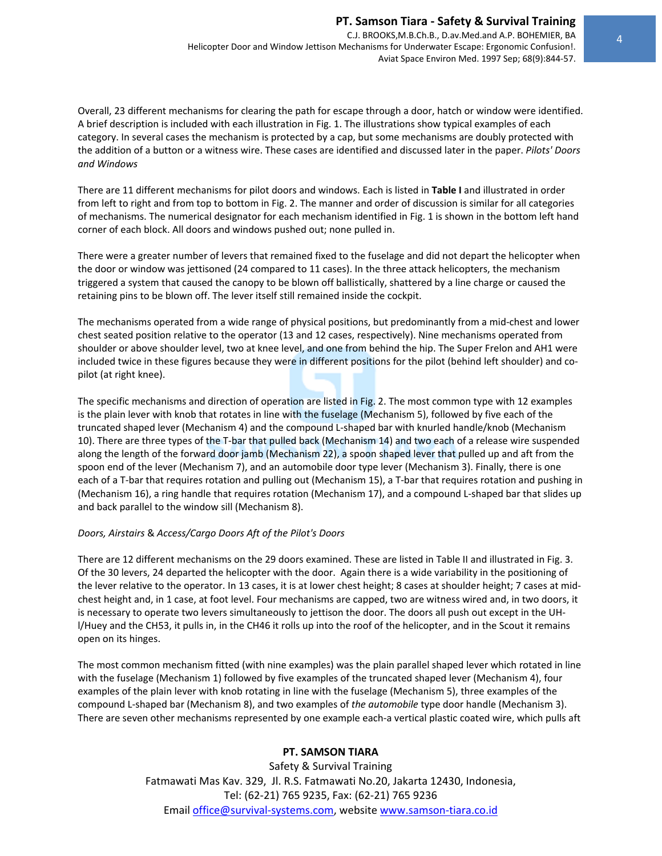C.J. BROOKS,M.B.Ch.B., D.av.Med.and A.P. BOHEMIER, BA Helicopter Door and Window Jettison Mechanisms for Underwater Escape: Ergonomic Confusion!. Aviat Space Environ Med. 1997 Sep; 68(9):844‐57.

Overall, 23 different mechanisms for clearing the path for escape through a door, hatch or window were identified. A brief description is included with each illustration in Fig. 1. The illustrations show typical examples of each category. In several cases the mechanism is protected by a cap, but some mechanisms are doubly protected with the addition of a button or a witness wire. These cases are identified and discussed later in the paper. *Pilots' Doors and Windows* 

There are 11 different mechanisms for pilot doors and windows. Each is listed in **Table I** and illustrated in order from left to right and from top to bottom in Fig. 2. The manner and order of discussion is similar for all categories of mechanisms. The numerical designator for each mechanism identified in Fig. 1 is shown in the bottom left hand corner of each block. All doors and windows pushed out; none pulled in.

There were a greater number of levers that remained fixed to the fuselage and did not depart the helicopter when the door or window was jettisoned (24 compared to 11 cases). In the three attack helicopters, the mechanism triggered a system that caused the canopy to be blown off ballistically, shattered by a line charge or caused the retaining pins to be blown off. The lever itself still remained inside the cockpit.

The mechanisms operated from a wide range of physical positions, but predominantly from a mid‐chest and lower chest seated position relative to the operator (13 and 12 cases, respectively). Nine mechanisms operated from shoulder or above shoulder level, two at knee level, and one from behind the hip. The Super Frelon and AH1 were included twice in these figures because they were in different positions for the pilot (behind left shoulder) and copilot (at right knee).

The specific mechanisms and direction of operation are listed in Fig. 2. The most common type with 12 examples is the plain lever with knob that rotates in line with the fuselage (Mechanism 5), followed by five each of the truncated shaped lever (Mechanism 4) and the compound L‐shaped bar with knurled handle/knob (Mechanism 10). There are three types of the T‐bar that pulled back (Mechanism 14) and two each of a release wire suspended along the length of the forward door jamb (Mechanism 22), a spoon shaped lever that pulled up and aft from the spoon end of the lever (Mechanism 7), and an automobile door type lever (Mechanism 3). Finally, there is one each of a T-bar that requires rotation and pulling out (Mechanism 15), a T-bar that requires rotation and pushing in (Mechanism 16), a ring handle that requires rotation (Mechanism 17), and a compound L‐shaped bar that slides up and back parallel to the window sill (Mechanism 8).

## *Doors, Airstairs* & *Access/Cargo Doors Aft of the Pilot's Doors*

There are 12 different mechanisms on the 29 doors examined. These are listed in Table II and illustrated in Fig. 3. Of the 30 levers, 24 departed the helicopter with the door. Again there is a wide variability in the positioning of the lever relative to the operator. In 13 cases, it is at lower chest height; 8 cases at shoulder height; 7 cases at midchest height and, in 1 case, at foot level. Four mechanisms are capped, two are witness wired and, in two doors, it is necessary to operate two levers simultaneously to jettison the door. The doors all push out except in the UH‐ l/Huey and the CH53, it pulls in, in the CH46 it rolls up into the roof of the helicopter, and in the Scout it remains open on its hinges.

The most common mechanism fitted (with nine examples) was the plain parallel shaped lever which rotated in line with the fuselage (Mechanism 1) followed by five examples of the truncated shaped lever (Mechanism 4), four examples of the plain lever with knob rotating in line with the fuselage (Mechanism 5), three examples of the compound L‐shaped bar (Mechanism 8), and two examples of *the automobile* type door handle (Mechanism 3). There are seven other mechanisms represented by one example each‐a vertical plastic coated wire, which pulls aft

## **PT. SAMSON TIARA**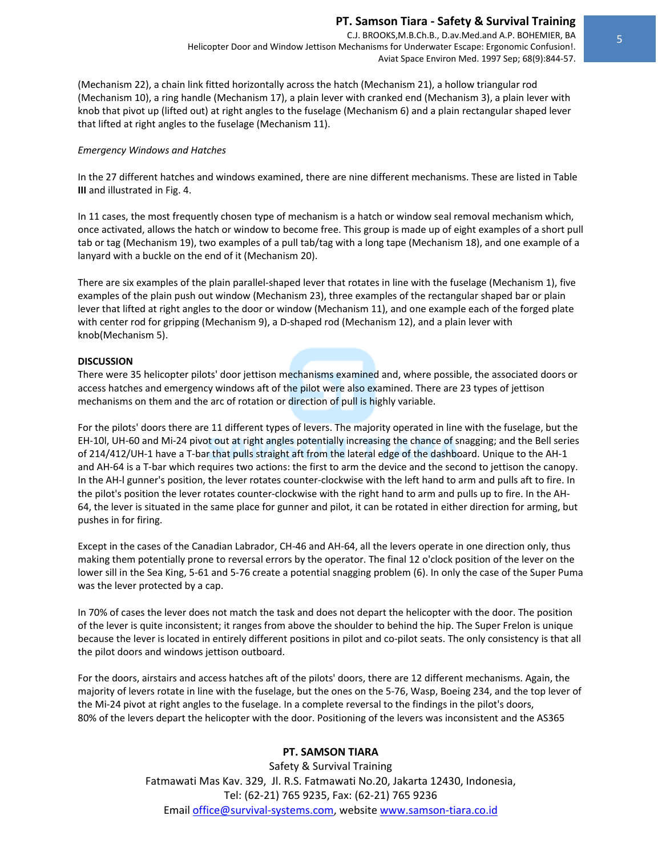C.J. BROOKS,M.B.Ch.B., D.av.Med.and A.P. BOHEMIER, BA Helicopter Door and Window Jettison Mechanisms for Underwater Escape: Ergonomic Confusion!. Aviat Space Environ Med. 1997 Sep; 68(9):844‐57.

(Mechanism 22), a chain link fitted horizontally across the hatch (Mechanism 21), a hollow triangular rod (Mechanism 10), a ring handle (Mechanism 17), a plain lever with cranked end (Mechanism 3), a plain lever with knob that pivot up (lifted out) at right angles to the fuselage (Mechanism 6) and a plain rectangular shaped lever that lifted at right angles to the fuselage (Mechanism 11).

#### *Emergency Windows and Hatches*

In the 27 different hatches and windows examined, there are nine different mechanisms. These are listed in Table **III** and illustrated in Fig. 4.

In 11 cases, the most frequently chosen type of mechanism is a hatch or window seal removal mechanism which, once activated, allows the hatch or window to become free. This group is made up of eight examples of a short pull tab or tag (Mechanism 19), two examples of a pull tab/tag with a long tape (Mechanism 18), and one example of a lanyard with a buckle on the end of it (Mechanism 20).

There are six examples of the plain parallel‐shaped lever that rotates in line with the fuselage (Mechanism 1), five examples of the plain push out window (Mechanism 23), three examples of the rectangular shaped bar or plain lever that lifted at right angles to the door or window (Mechanism 11), and one example each of the forged plate with center rod for gripping (Mechanism 9), a D-shaped rod (Mechanism 12), and a plain lever with knob(Mechanism 5).

#### **DISCUSSION**

There were 35 helicopter pilots' door jettison mechanisms examined and, where possible, the associated doors or access hatches and emergency windows aft of the pilot were also examined. There are 23 types of jettison mechanisms on them and the arc of rotation or direction of pull is highly variable.

For the pilots' doors there are 11 different types of levers. The majority operated in line with the fuselage, but the EH-10l, UH-60 and Mi-24 pivot out at right angles potentially increasing the chance of snagging; and the Bell series of 214/412/UH-1 have a T-bar that pulls straight aft from the lateral edge of the dashboard. Unique to the AH-1 and AH-64 is a T-bar which requires two actions: the first to arm the device and the second to jettison the canopy. In the AH-I gunner's position, the lever rotates counter-clockwise with the left hand to arm and pulls aft to fire. In the pilot's position the lever rotates counter‐clockwise with the right hand to arm and pulls up to fire. In the AH‐ 64, the lever is situated in the same place for gunner and pilot, it can be rotated in either direction for arming, but pushes in for firing.

Except in the cases of the Canadian Labrador, CH‐46 and AH‐64, all the levers operate in one direction only, thus making them potentially prone to reversal errors by the operator. The final 12 o'clock position of the lever on the lower sill in the Sea King, 5‐61 and 5‐76 create a potential snagging problem (6). In only the case of the Super Puma was the lever protected by a cap.

In 70% of cases the lever does not match the task and does not depart the helicopter with the door. The position of the lever is quite inconsistent; it ranges from above the shoulder to behind the hip. The Super Frelon is unique because the lever is located in entirely different positions in pilot and co-pilot seats. The only consistency is that all the pilot doors and windows jettison outboard.

For the doors, airstairs and access hatches aft of the pilots' doors, there are 12 different mechanisms. Again, the majority of levers rotate in line with the fuselage, but the ones on the 5‐76, Wasp, Boeing 234, and the top lever of the Mi‐24 pivot at right angles to the fuselage. In a complete reversal to the findings in the pilot's doors, 80% of the levers depart the helicopter with the door. Positioning of the levers was inconsistent and the AS365

## **PT. SAMSON TIARA**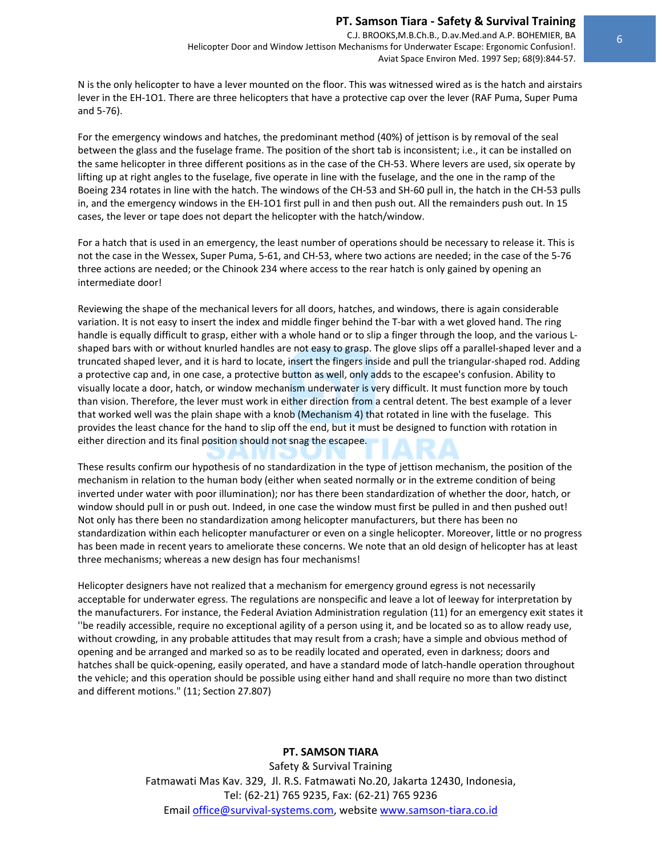N is the only helicopter to have a lever mounted on the floor. This was witnessed wired as is the hatch and airstairs lever in the EH‐1O1. There are three helicopters that have a protective cap over the lever (RAF Puma, Super Puma and 5‐76).

For the emergency windows and hatches, the predominant method (40%) of jettison is by removal of the seal between the glass and the fuselage frame. The position of the short tab is inconsistent; i.e., it can be installed on the same helicopter in three different positions as in the case of the CH‐53. Where levers are used, six operate by lifting up at right angles to the fuselage, five operate in line with the fuselage, and the one in the ramp of the Boeing 234 rotates in line with the hatch. The windows of the CH‐53 and SH‐60 pull in, the hatch in the CH‐53 pulls in, and the emergency windows in the EH‐1O1 first pull in and then push out. All the remainders push out. In 15 cases, the lever or tape does not depart the helicopter with the hatch/window.

For a hatch that is used in an emergency, the least number of operations should be necessary to release it. This is not the case in the Wessex, Super Puma, 5‐61, and CH‐53, where two actions are needed; in the case of the 5‐76 three actions are needed; or the Chinook 234 where access to the rear hatch is only gained by opening an intermediate door!

Reviewing the shape of the mechanical levers for all doors, hatches, and windows, there is again considerable variation. It is not easy to insert the index and middle finger behind the T‐bar with a wet gloved hand. The ring handle is equally difficult to grasp, either with a whole hand or to slip a finger through the loop, and the various L‐ shaped bars with or without knurled handles are not easy to grasp. The glove slips off a parallel‐shaped lever and a truncated shaped lever, and it is hard to locate, insert the fingers inside and pull the triangular‐shaped rod. Adding a protective cap and, in one case, a protective button as well, only adds to the escapee's confusion. Ability to visually locate a door, hatch, or window mechanism underwater is very difficult. It must function more by touch than vision. Therefore, the lever must work in either direction from a central detent. The best example of a lever that worked well was the plain shape with a knob (Mechanism 4) that rotated in line with the fuselage. This provides the least chance for the hand to slip off the end, but it must be designed to function with rotation in either direction and its final position should not snag the escapee.

These results confirm our hypothesis of no standardization in the type of jettison mechanism, the position of the mechanism in relation to the human body (either when seated normally or in the extreme condition of being inverted under water with poor illumination); nor has there been standardization of whether the door, hatch, or window should pull in or push out. Indeed, in one case the window must first be pulled in and then pushed out! Not only has there been no standardization among helicopter manufacturers, but there has been no standardization within each helicopter manufacturer or even on a single helicopter. Moreover, little or no progress has been made in recent years to ameliorate these concerns. We note that an old design of helicopter has at least three mechanisms; whereas a new design has four mechanisms!

Helicopter designers have not realized that a mechanism for emergency ground egress is not necessarily acceptable for underwater egress. The regulations are nonspecific and leave a lot of leeway for interpretation by the manufacturers. For instance, the Federal Aviation Administration regulation (11) for an emergency exit states it ''be readily accessible, require no exceptional agility of a person using it, and be located so as to allow ready use, without crowding, in any probable attitudes that may result from a crash; have a simple and obvious method of opening and be arranged and marked so as to be readily located and operated, even in darkness; doors and hatches shall be quick-opening, easily operated, and have a standard mode of latch-handle operation throughout the vehicle; and this operation should be possible using either hand and shall require no more than two distinct and different motions." (11; Section 27.807)

## **PT. SAMSON TIARA**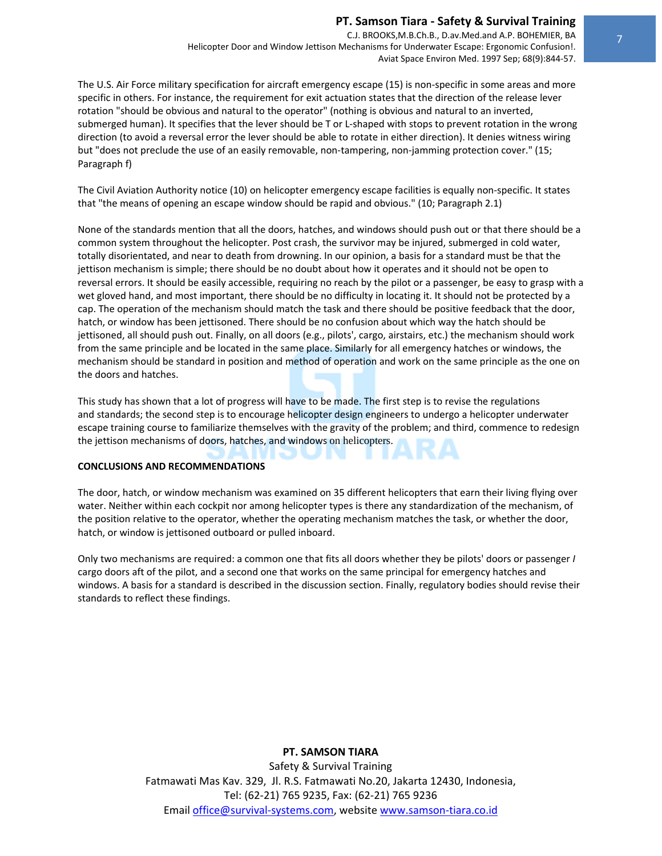C.J. BROOKS,M.B.Ch.B., D.av.Med.and A.P. BOHEMIER, BA Helicopter Door and Window Jettison Mechanisms for Underwater Escape: Ergonomic Confusion!. Aviat Space Environ Med. 1997 Sep; 68(9):844‐57.

The U.S. Air Force military specification for aircraft emergency escape (15) is non‐specific in some areas and more specific in others. For instance, the requirement for exit actuation states that the direction of the release lever rotation "should be obvious and natural to the operator" (nothing is obvious and natural to an inverted, submerged human). It specifies that the lever should be T or L-shaped with stops to prevent rotation in the wrong direction (to avoid a reversal error the lever should be able to rotate in either direction). It denies witness wiring but "does not preclude the use of an easily removable, non-tampering, non-jamming protection cover." (15; Paragraph f)

The Civil Aviation Authority notice (10) on helicopter emergency escape facilities is equally non‐specific. It states that "the means of opening an escape window should be rapid and obvious." (10; Paragraph 2.1)

None of the standards mention that all the doors, hatches, and windows should push out or that there should be a common system throughout the helicopter. Post crash, the survivor may be injured, submerged in cold water, totally disorientated, and near to death from drowning. In our opinion, a basis for a standard must be that the jettison mechanism is simple; there should be no doubt about how it operates and it should not be open to reversal errors. It should be easily accessible, requiring no reach by the pilot or a passenger, be easy to grasp with a wet gloved hand, and most important, there should be no difficulty in locating it. It should not be protected by a cap. The operation of the mechanism should match the task and there should be positive feedback that the door, hatch, or window has been jettisoned. There should be no confusion about which way the hatch should be jettisoned, all should push out. Finally, on all doors (e.g., pilots', cargo, airstairs, etc.) the mechanism should work from the same principle and be located in the same place. Similarly for all emergency hatches or windows, the mechanism should be standard in position and method of operation and work on the same principle as the one on the doors and hatches.

This study has shown that a lot of progress will have to be made. The first step is to revise the regulations and standards; the second step is to encourage helicopter design engineers to undergo a helicopter underwater escape training course to familiarize themselves with the gravity of the problem; and third, commence to redesign the jettison mechanisms of doors, hatches, and windows on helicopters.

### **CONCLUSIONS AND RECOMMENDATIONS**

The door, hatch, or window mechanism was examined on 35 different helicopters that earn their living flying over water. Neither within each cockpit nor among helicopter types is there any standardization of the mechanism, of the position relative to the operator, whether the operating mechanism matches the task, or whether the door, hatch, or window is jettisoned outboard or pulled inboard.

Only two mechanisms are required: a common one that fits all doors whether they be pilots' doors or passenger *I* cargo doors aft of the pilot, and a second one that works on the same principal for emergency hatches and windows. A basis for a standard is described in the discussion section. Finally, regulatory bodies should revise their standards to reflect these findings.

## **PT. SAMSON TIARA**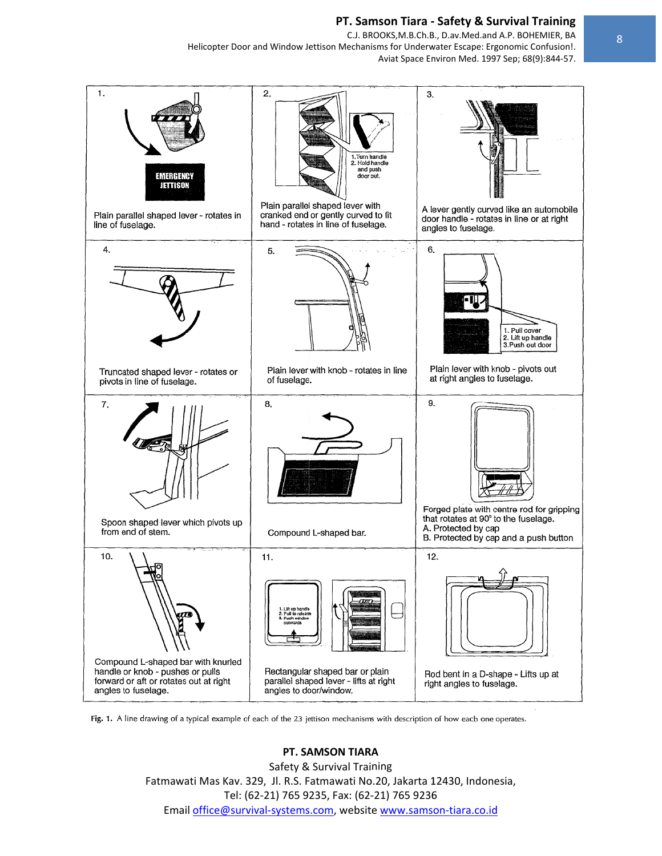C.J. BROOKS, M.B.Ch.B., D.av.Med.and A.P. BOHEMIER, BA Helicopter Door and Window Jettison Mechanisms for Underwater Escape: Ergonomic Confusion!. Aviat Space Environ Med. 1997 Sep; 68(9):844-57.



Fig. 1. A line drawing of a typical example of each of the 23 jettison mechanisms with description of how each one operates.

# **PT. SAMSON TIARA**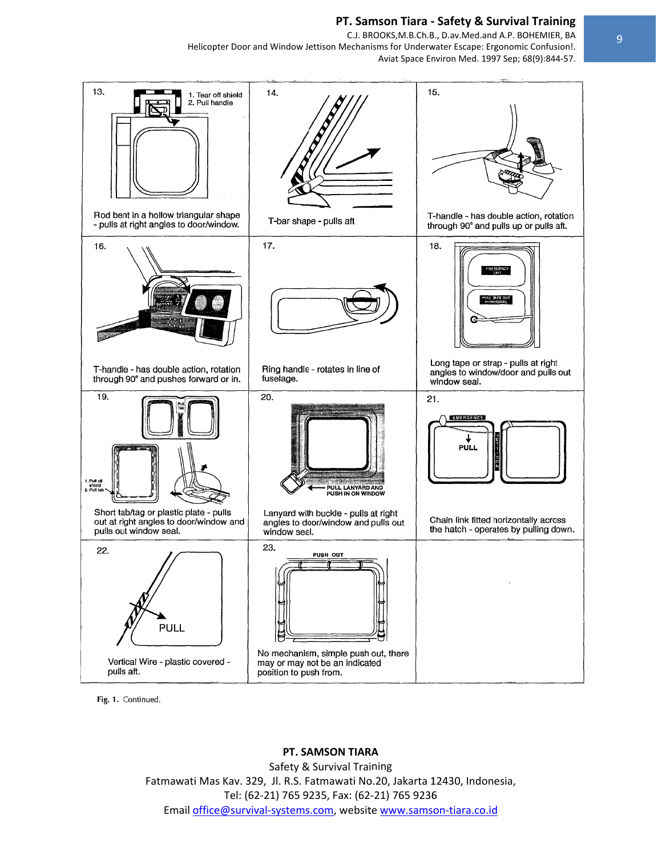C.J. BROOKS, M.B.Ch.B., D.av.Med.and A.P. BOHEMIER, BA Helicopter Door and Window Jettison Mechanisms for Underwater Escape: Ergonomic Confusion!. Aviat Space Environ Med. 1997 Sep; 68(9):844-57.



Fig. 1. Continued.

#### PT. SAMSON TIARA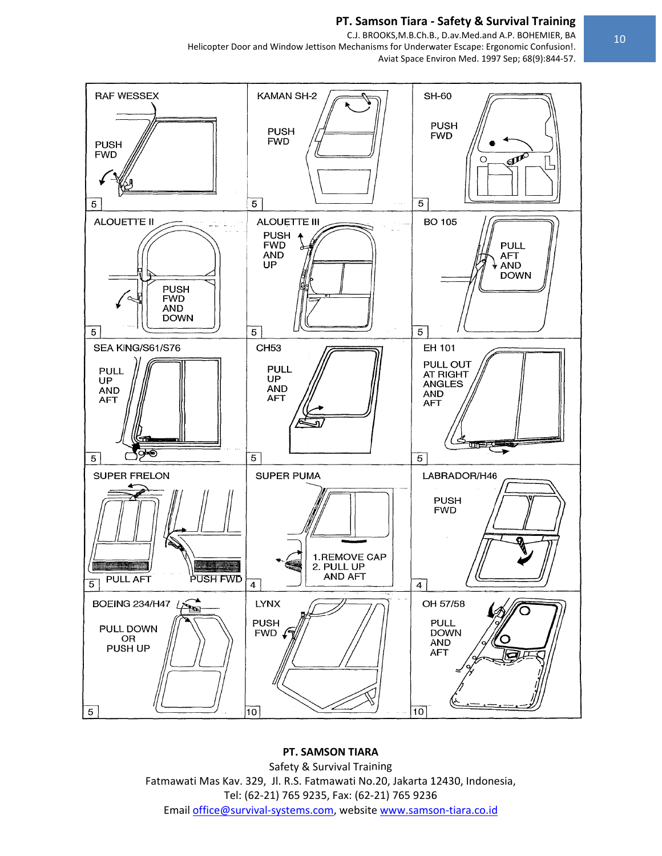C.J. BROOKS, M.B.Ch.B., D.av. Med.and A.P. BOHEMIER, BA Helicopter Door and Window Jettison Mechanisms for Underwater Escape: Ergonomic Confusion!. Aviat Space Environ Med. 1997 Sep; 68(9):844-57.



# PT. SAMSON TIARA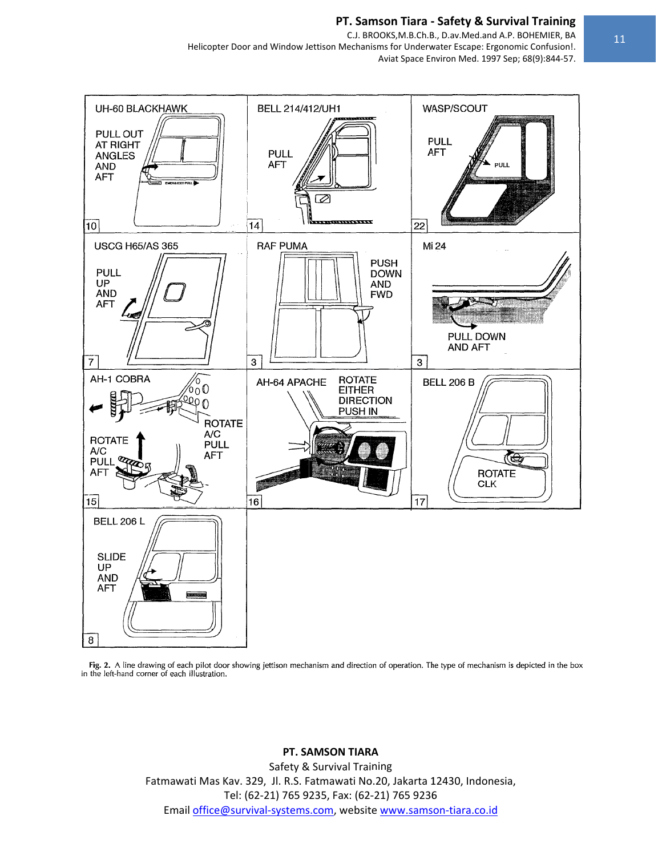

Fig. 2. A line drawing of each pilot door showing jettison mechanism and direction of operation. The type of mechanism is depicted in the box in the left-hand corner of each illustration.

#### PT. SAMSON TIARA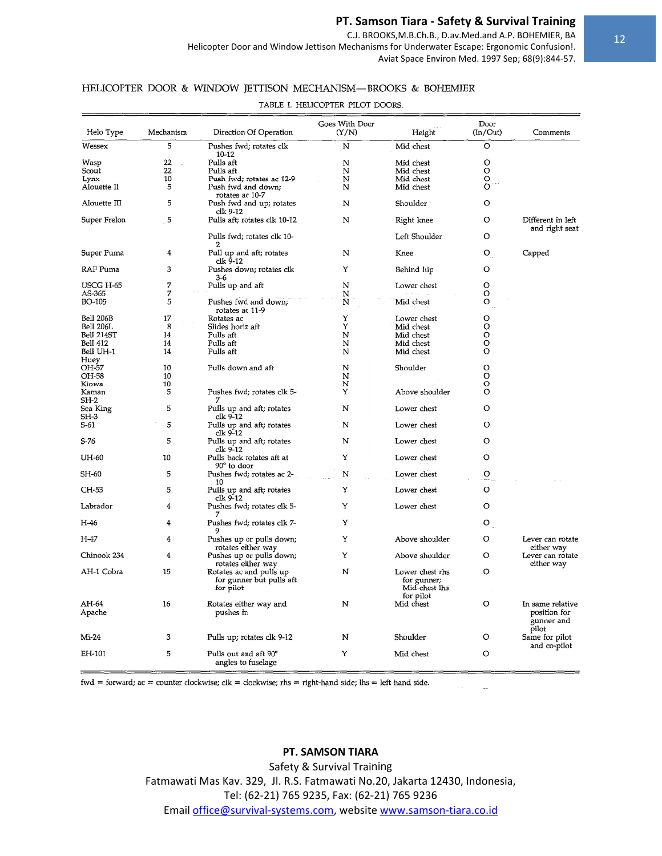C.J. BROOKS, M.B.Ch.B., D.av. Med.and A.P. BOHEMIER, BA

Helicopter Door and Window Jettison Mechanisms for Underwater Escape: Ergonomic Confusion!.

Aviat Space Environ Med. 1997 Sep; 68(9):844-57.

## HELICOPTER DOOR & WINDOW JETTISON MECHANISM-BROOKS & BOHEMIER

TABLE I. HELICOPTER PILOT DOORS.

| Helo Type           | Mechanism | Direction Of Operation                                           | Goes With Door<br>(Y/N) | Height                                                       | Door<br>(In/Out)  | Comments                                                |  |
|---------------------|-----------|------------------------------------------------------------------|-------------------------|--------------------------------------------------------------|-------------------|---------------------------------------------------------|--|
| Wessex              | 5         | Pushes fwd; rotates clk<br>10-12                                 | N                       | Mid chest                                                    | O                 |                                                         |  |
| Wasp                | 22        | Pulls aft                                                        | N                       | Mid chest                                                    | O                 |                                                         |  |
| Scout               | 22        | Pulls aft                                                        | N                       | Mid chest                                                    | $\Omega$          |                                                         |  |
| Lynx                | 10        | Push fwd; rotates ac 12-9                                        | N                       | Mid chest                                                    | O                 |                                                         |  |
| Alouette II         | 5         | Push fwd and down;                                               | N                       | Mid chest                                                    | Ō                 |                                                         |  |
|                     |           | rotates ac 10-7                                                  |                         |                                                              |                   |                                                         |  |
| Alouette III        | 5         | Push fwd and up; rotates<br>clk 9-12                             | N                       | Shoulder                                                     | $\circ$           |                                                         |  |
| Super Frelon        | 5         | Pulls aft; rotates clk 10-12                                     | N                       | Right knee                                                   | O                 | Different in left<br>and right seat                     |  |
|                     |           | Pulls fwd; rotates clk 10-<br>2                                  |                         | Left Shoulder                                                | O                 |                                                         |  |
| Super Puma          | 4         | Pull up and aft; rotates<br>clk 9-12                             | N                       | Knee                                                         | O                 | Capped                                                  |  |
| RAF Puma            | 3         | Pushes down; rotates clk<br>3-6                                  | Υ                       | Behind hip                                                   | O                 |                                                         |  |
| USCG H-65<br>AS-365 | 7<br>7    | Pulls up and aft                                                 | N<br>N                  | Lower chest                                                  | O<br>O            |                                                         |  |
| BO-105              | 5         | Pushes fwd and down;<br>rotates ac 11-9                          | Ñ                       | Mid chest                                                    | O                 |                                                         |  |
| <b>Bell 206B</b>    | 17        | Rotates ac                                                       | Υ                       | Lower chest                                                  | O                 |                                                         |  |
| Bell 206L           | 8         | Slides horiz aft                                                 | Y                       | Mid chest                                                    | О                 |                                                         |  |
| Bell 214ST          | 14        | Pulls aft                                                        | N                       | Mid chest                                                    | O                 |                                                         |  |
| Bell 412            | 14        | Pulls aft                                                        | N                       | Mid chest                                                    | O                 |                                                         |  |
| Bell UH-1           | 14        | Pulls aft                                                        | N                       | Mid chest                                                    | O                 |                                                         |  |
| Huey<br>OH-57       | 10        | Pulls down and aft                                               | N                       | Shoulder                                                     | O                 |                                                         |  |
| OH-58               | 10        |                                                                  | N                       |                                                              | O                 |                                                         |  |
| Kiowa               | 10        |                                                                  | N                       |                                                              | o                 |                                                         |  |
| Kaman               | 5         | Pushes fwd; rotates clk 5-                                       | Y                       | Above shoulder                                               | Ö                 |                                                         |  |
| SH-2                |           | 7                                                                |                         |                                                              |                   |                                                         |  |
| Sea King            | 5         | Pulls up and aft; rotates                                        | N                       | Lower chest                                                  | O                 |                                                         |  |
| SH-3<br>S-61        | 5         | clk 9-12<br>Pulls up and aft; rotates                            | N                       | Lower chest                                                  | O                 |                                                         |  |
| S-76                | 5         | clk 9-12<br>Pulls up and aft; rotates                            | N                       | Lower chest                                                  | O                 |                                                         |  |
| UH-60               | 10        | clk 9-12<br>Pulls back rotates aft at<br>90° to door             | Y                       | Lower chest                                                  | O                 |                                                         |  |
| SH-60               | 5         | Pushes fwd; rotates ac 2-<br>10                                  | N                       | Lower chest                                                  | O                 |                                                         |  |
| CH-53               | 5.        | Pulls up and aft; rotates<br>clk 9-12                            | Y                       | Lower chest                                                  | O                 |                                                         |  |
| Labrador            | 4         | Pushes fwd; rotates clk 5-                                       | Y                       | Lower chest                                                  | O                 |                                                         |  |
| H-46                | 4         | Pushes fwd; rotates clk 7-<br>9                                  | Y                       |                                                              | O                 |                                                         |  |
| H-47                | 4         | Pushes up or pulls down;<br>rotates either way                   | Y                       | Above shoulder                                               | O                 | Lever can rotate<br>either way                          |  |
| Chinook 234         | 4         | Pushes up or pulls down;<br>rotates either way                   | Υ                       | Above shoulder                                               | O                 | Lever can rotate<br>either way                          |  |
| AH-1 Cobra          | 15        | Rotates ac and pulls up<br>for gunner but pulls aft<br>for pilot | N                       | Lower chest rhs<br>for gunner;<br>Mid-chest lhs<br>for pilot | $\circ$<br>$\sim$ |                                                         |  |
| AH-64<br>Apache     | 16        | Rotates either way and<br>pushes in                              | N                       | Mid chest                                                    | O                 | In same relative<br>position for<br>gunner and<br>pilot |  |
| $Mi-24$             | 3         | Pulls up; rotates clk 9-12                                       | N                       | Shoulder                                                     | O                 | Same for pilot<br>and co-pilot                          |  |
| EH-101              | 5         | Pulls out and aft 90°<br>angles to fuselage                      | Y                       | Mid chest                                                    | O                 |                                                         |  |

fwd = forward;  $ac =$  counter clockwise; clk = clockwise; rhs = right-hand side; lhs = left hand side.

## PT. SAMSON TIARA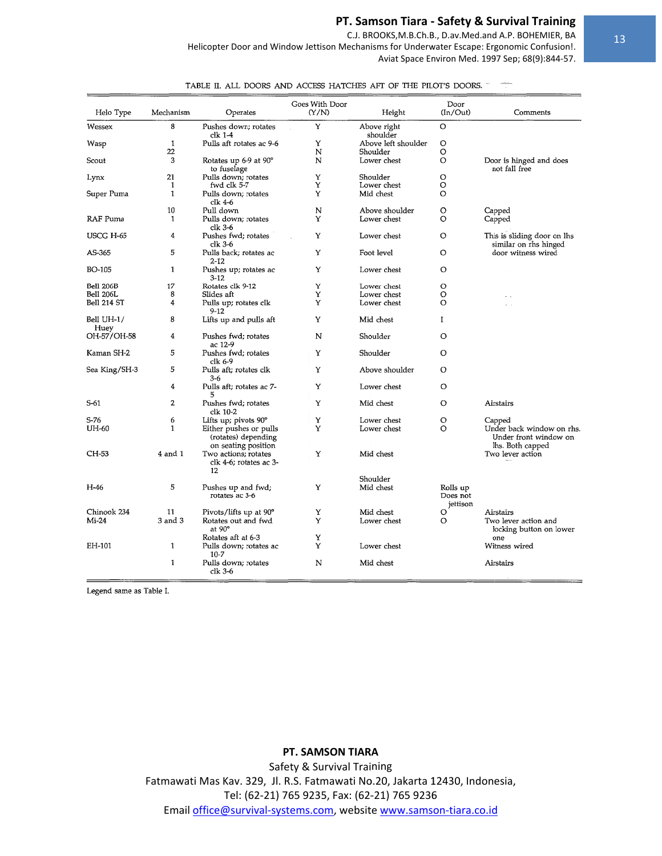C.J. BROOKS, M.B.Ch.B., D.av. Med.and A.P. BOHEMIER, BA

Helicopter Door and Window Jettison Mechanisms for Underwater Escape: Ergonomic Confusion!. Aviat Space Environ Med. 1997 Sep; 68(9):844-57.

| Helo Type          | Mechanism   | Operates                                                             | Goes With Door<br>(Y/N) | Height                          | Door<br>(In/Out)                 | Comments                                                               |
|--------------------|-------------|----------------------------------------------------------------------|-------------------------|---------------------------------|----------------------------------|------------------------------------------------------------------------|
| Wessex             | 8           | Pushes down; rotates<br>clk 1-4                                      | Υ                       | Above right<br>shoulder         | O                                |                                                                        |
| Wasp               | 1<br>22     | Pulls aft rotates ac 9-6                                             | Υ<br>N                  | Above left shoulder<br>Shoulder | O<br>O                           |                                                                        |
| Scout              | 3           | Rotates up 6-9 at 90°<br>to fuselage                                 | N                       | Lower chest                     | O                                | Door is hinged and does<br>not fall free                               |
| Lynx               | 21<br>1     | Pulls down; rotates<br>fwd clk 5-7                                   | Υ<br>Υ                  | Shoulder<br>Lower chest         | O<br>O                           |                                                                        |
| Super Puma         | 1           | Pulls down; rotates<br>clk 4-6                                       | Y                       | Mid chest                       | O                                |                                                                        |
|                    | 10          | Pull down                                                            | N                       | Above shoulder                  | O                                | Capped                                                                 |
| RAF Puma           | 1           | Pulls down; rotates<br>clk $3-6$                                     | Y                       | Lower chest                     | O                                | Capped                                                                 |
| USCG H-65          | 4           | Pushes fwd; rotates<br>clk 3-6                                       | Y                       | Lower chest                     | O                                | This is sliding door on lhs<br>similar on rhs hinged                   |
| AS-365             | 5           | Pulls back; rotates ac<br>$2 - 12$                                   | Υ                       | Foot level                      | $\circ$                          | door witness wired                                                     |
| BO-105             | 1           | Pushes up; rotates ac<br>$3 - 12$                                    | Υ                       | Lower chest                     | O                                |                                                                        |
| Bell 206B          | 17          | Rotates clk 9-12                                                     | Υ                       | Lower chest                     | $\circ$                          |                                                                        |
| <b>Bell 206L</b>   | 8           | Slides aft                                                           | Υ                       | Lower chest                     | $\circ$                          |                                                                        |
| Bell 214 ST        | 4           | Pulls up; rotates clk<br>$9 - 12$                                    | Υ                       | Lower chest                     | $\Omega$                         | $\sim$                                                                 |
| Bell UH-1/<br>Huey | 8           | Lifts up and pulls aft                                               | Y                       | Mid chest                       | Ĭ.                               |                                                                        |
| OH-57/OH-58        | 4           | Pushes fwd; rotates<br>ac 12-9                                       | N                       | Shoulder                        | $\circ$                          |                                                                        |
| Kaman SH-2         | 5           | Pushes fwd; rotates<br>clk 6-9                                       | Υ                       | Shoulder                        | O                                |                                                                        |
| Sea King/SH-3      | 5           | Pulls aft; rotates clk<br>$3 - 6$                                    | Υ                       | Above shoulder                  | O                                |                                                                        |
|                    | 4           | Pulls aft; rotates ac 7-<br>5                                        | Υ                       | Lower chest                     | O                                |                                                                        |
| S-61               | 2           | Pushes fwd; rotates<br>clk 10-2                                      | Υ                       | Mid chest                       | O                                | Airstairs                                                              |
| S-76               | 6           | Lifts up; pivots 90°                                                 | Υ                       | Lower chest                     | $\circ$                          | Capped                                                                 |
| UH-60              | 1           | Either pushes or pulls<br>(rotates) depending<br>on seating position | Y                       | Lower chest                     | O                                | Under back window on rhs.<br>Under front window on<br>lhs. Both capped |
| CH-53              | 4 and 1     | Two actions; rotates<br>clk 4-6; rotates ac 3-<br>12                 | Υ                       | Mid chest                       |                                  | Two lever action                                                       |
| H-46               | 5           | Pushes up and fwd;<br>rotates ac 3-6                                 | Y                       | Shoulder<br>Mid chest           | Rolls up<br>Does not<br>jettison |                                                                        |
| Chinook 234        | 11          | Pivots/lifts up at 90°                                               | Υ                       | Mid chest                       | O                                | Airstairs                                                              |
| Mi-24              | $3$ and $3$ | Rotates out and fwd<br>at 90°                                        | Y                       | Lower chest                     | O                                | Two lever action and<br>locking button on lower                        |
|                    |             | Rotates aft at 6-3                                                   | Y                       |                                 |                                  | one                                                                    |
| EH-101             | 1           | Pulls down; rotates ac<br>$10 - 7$                                   | Υ                       | Lower chest                     |                                  | Witness wired                                                          |
|                    | 1           | Pulls down; rotates<br>$clk 3-6$                                     | N                       | Mid chest                       |                                  | Airstairs                                                              |

TABLE II. ALL DOORS AND ACCESS HATCHES AFT OF THE PILOT'S DOORS.

Legend same as Table I.

# PT. SAMSON TIARA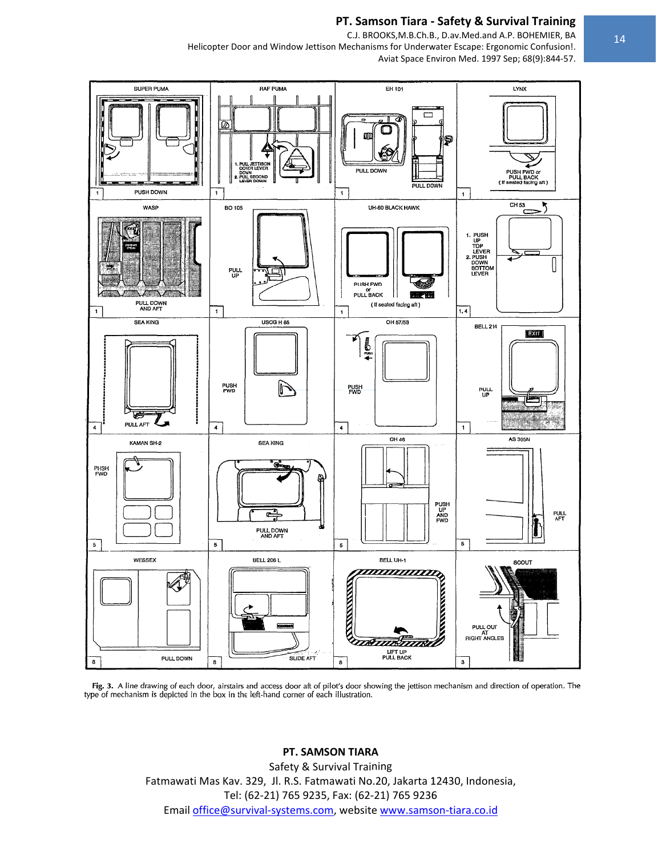C.J. BROOKS, M.B.Ch.B., D.av. Med.and A.P. BOHEMIER, BA Helicopter Door and Window Jettison Mechanisms for Underwater Escape: Ergonomic Confusion!.



Fig. 3. A line drawing of each door, airstairs and access door aft of pilot's door showing the jettison mechanism and direction of operation. The type of mechanism is depicted in the box in the left-hand corner of each ill

## PT. SAMSON TIARA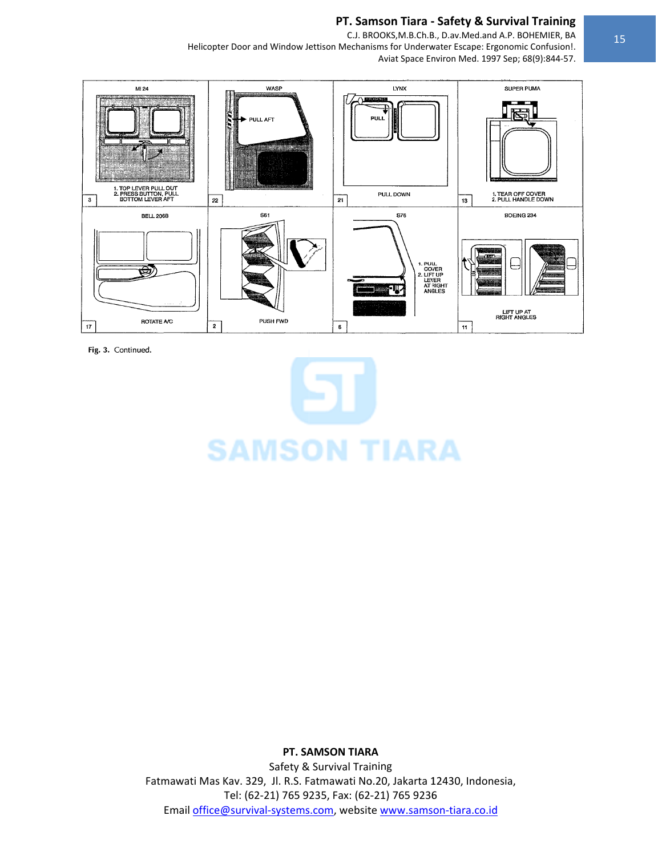C.J. BROOKS, M.B.Ch.B., D.av. Med.and A.P. BOHEMIER, BA Helicopter Door and Window Jettison Mechanisms for Underwater Escape: Ergonomic Confusion!. Aviat Space Environ Med. 1997 Sep; 68(9):844-57.



Fig. 3. Continued.

**SAMSON TIARA** 

PT. SAMSON TIARA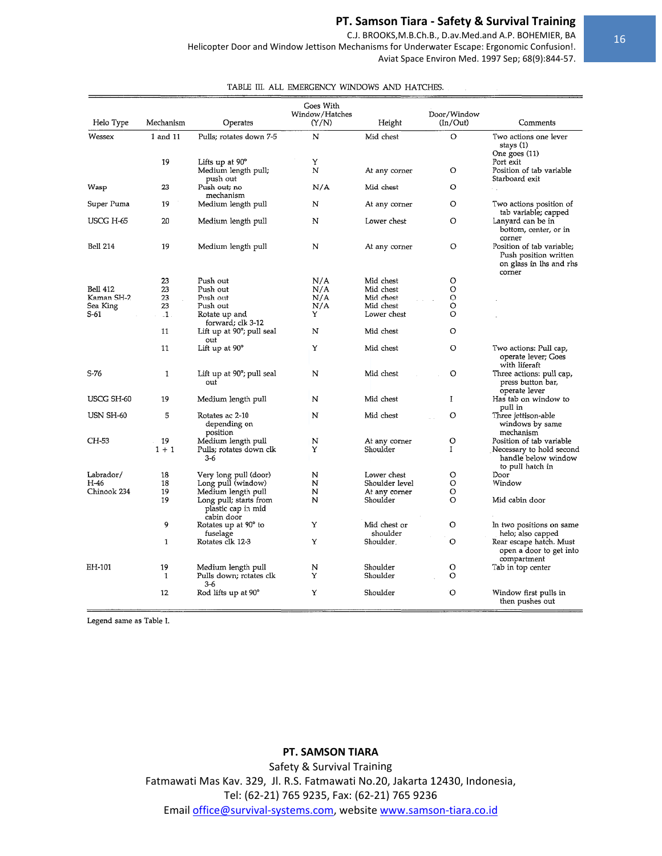$\mathcal{L}$ 

C.J. BROOKS, M.B.Ch.B., D.av. Med.and A.P. BOHEMIER, BA

Helicopter Door and Window Jettison Mechanisms for Underwater Escape: Ergonomic Confusion!. Aviat Space Environ Med. 1997 Sep; 68(9):844-57.

TABLE III. ALL EMERGENCY WINDOWS AND HATCHES.

|                 |               |                                                            | Goes With<br>Window/Hatches |                          | Door/Window  |                                                                                         |
|-----------------|---------------|------------------------------------------------------------|-----------------------------|--------------------------|--------------|-----------------------------------------------------------------------------------------|
| Helo Type       | Mechanism     | Operates                                                   | (Y/N)                       | Height                   | (In/Out)     | Comments                                                                                |
| Wessex          | 1 and 11      | Pulls; rotates down 7-5                                    | N                           | Mid chest                | O            | Two actions one lever<br>stays (1)<br>One goes (11)                                     |
|                 | 19            | Lifts up at 90°<br>Medium length pull;<br>push out         | Υ<br>N                      | At any corner            | O            | Port exit<br>Position of tab variable<br>Starboard exit                                 |
| Wasp            | 23            | Push out; no<br>mechanism                                  | N/A                         | Mid chest                | O            |                                                                                         |
| Super Puma      | 19            | Medium length pull                                         | N                           | At any corner            | O            | Two actions position of<br>tab variable; capped                                         |
| USCG H-65       | 20            | Medium length pull                                         | N                           | Lower chest              | O            | Lanyard can be in<br>bottom, center, or in<br>corner                                    |
| <b>Bell 214</b> | 19            | Medium length pull                                         | N                           | At any corner            | O            | Position of tab variable;<br>Push position written<br>on glass in lhs and rhs<br>corner |
|                 | 23            | Push out                                                   | N/A                         | Mid chest                | O            |                                                                                         |
| Bell 412        | 23            | Push out                                                   | N/A                         | Mid chest                | O            |                                                                                         |
| Kaman SH-2      | 23            | Push out                                                   | N/A                         | Mid chest                | $\circ$      |                                                                                         |
| Sea King        | 23            | Push out                                                   | N/A                         | Mid chest                | O            |                                                                                         |
| S-61            | $\mathbf{-1}$ | Rotate up and<br>forward; clk 3-12                         | Y                           | Lower chest              | O            |                                                                                         |
|                 | 11            | Lift up at 90°; pull seal<br>out                           | N                           | Mid chest                | O            |                                                                                         |
|                 | 11            | Lift up at $90^\circ$                                      | Υ                           | Mid chest                | O            | Two actions: Pull cap,<br>operate lever; Goes<br>with liferaft                          |
| S-76            | $\mathbf{1}$  | Lift up at 90°; pull seal<br>out                           | N                           | Mid chest                | O            | Three actions: pull cap,<br>press button bar,<br>operate lever                          |
| USCG SH-60      | 19            | Medium length pull                                         | N                           | Mid chest                | $\bf{I}$     | Has tab on window to<br>pull in                                                         |
| USN SH-60       | 5             | Rotates ac 2-10<br>depending on<br>position                | N                           | Mid chest                | O            | Three jettison-able<br>windows by same<br>mechanism                                     |
| CH-53           | 19            | Medium length pull                                         | N                           | At any corner            | O            | Position of tab variable                                                                |
|                 | $1 + 1$       | Pulls; rotates down clk<br>3-6                             | Υ                           | Shoulder                 | $\mathbf{I}$ | Necessary to hold second<br>handle below window<br>to pull hatch in                     |
| Labrador/       | 18            | Very long pull (door)                                      | N                           | Lower chest              | O            | Door                                                                                    |
| H-46            | 18            | Long pull (window)                                         | N                           | Shoulder level           | O            | Window                                                                                  |
| Chinook 234     | 19            | Medium length pull                                         | N                           | At any corner            | O            |                                                                                         |
|                 | 19            | Long pull; starts from<br>plastic cap in mid<br>cabin door | N                           | Shoulder                 | O            | Mid cabin door                                                                          |
|                 | 9             | Rotates up at 90° to<br>fuselage                           | Υ                           | Mid chest or<br>shoulder | O            | In two positions on same<br>helo; also capped                                           |
|                 | 1             | Rotates clk 12-3                                           | Υ                           | Shoulder.                | $\circ$      | Rear escape hatch. Must<br>open a door to get into<br>compartment                       |
| EH-101          | 19            | Medium length pull                                         | N                           | Shoulder                 | O            | Tab in top center                                                                       |
|                 | $\mathbf{1}$  | Pulls down; rotates clk<br>3-6                             | Υ                           | Shoulder                 | $\circ$      |                                                                                         |
|                 | 12            | Rod lifts up at 90°                                        | Y                           | Shoulder                 | Ō            | Window first pulls in<br>then pushes out                                                |

Legend same as Table I.

# PT. SAMSON TIARA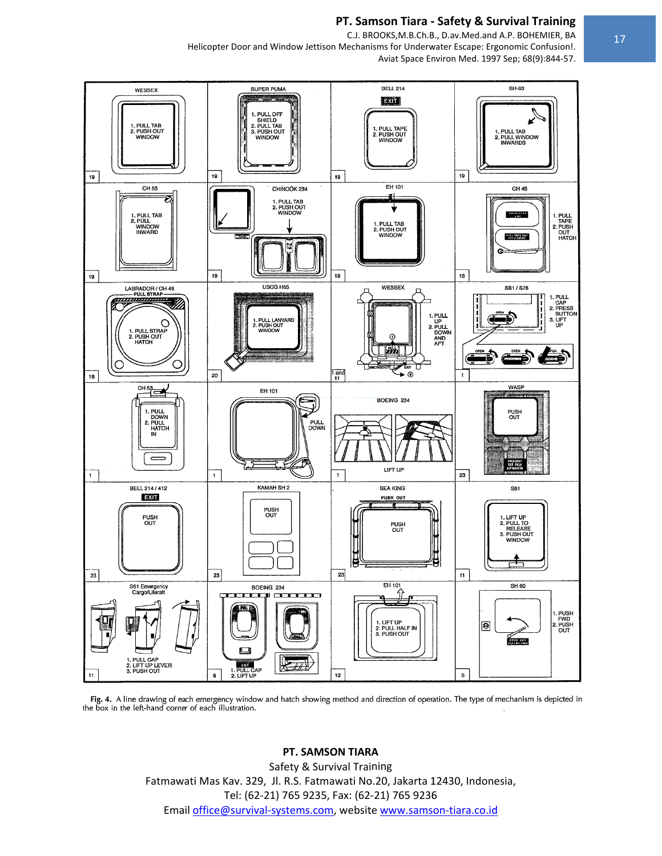C.J. BROOKS, M.B.Ch.B., D.av. Med.and A.P. BOHEMIER, BA

Helicopter Door and Window Jettison Mechanisms for Underwater Escape: Ergonomic Confusion!. Aviat Space Environ Med. 1997 Sep; 68(9):844-57.



Fig. 4. A line drawing of each emergency window and hatch showing method and direction of operation. The type of mechanism is depicted in the box in the left-hand corner of each illustration.

# PT. SAMSON TIARA